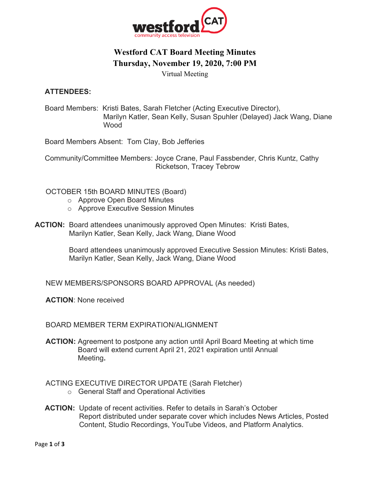

# **Westford CAT Board Meeting Minutes Thursday, November 19, 2020, 7:00 PM**

Virtual Meeting

### **ATTENDEES:**

Board Members: Kristi Bates, Sarah Fletcher (Acting Executive Director), Marilyn Katler, Sean Kelly, Susan Spuhler (Delayed) Jack Wang, Diane Wood

Board Members Absent: Tom Clay, Bob Jefferies

 Community/Committee Members: Joyce Crane, Paul Fassbender, Chris Kuntz, Cathy Ricketson, Tracey Tebrow

### OCTOBER 15th BOARD MINUTES (Board)

- o Approve Open Board Minutes
- o Approve Executive Session Minutes
- **ACTION:** Board attendees unanimously approved Open Minutes: Kristi Bates, Marilyn Katler, Sean Kelly, Jack Wang, Diane Wood

 Board attendees unanimously approved Executive Session Minutes: Kristi Bates, Marilyn Katler, Sean Kelly, Jack Wang, Diane Wood

NEW MEMBERS/SPONSORS BOARD APPROVAL (As needed)

**ACTION**: None received

### BOARD MEMBER TERM EXPIRATION/ALIGNMENT

**ACTION:** Agreement to postpone any action until April Board Meeting at which time Board will extend current April 21, 2021 expiration until Annual Meeting**.** 

ACTING EXECUTIVE DIRECTOR UPDATE (Sarah Fletcher)

- o General Staff and Operational Activities
- **ACTION:** Update of recent activities. Refer to details in Sarah's October Report distributed under separate cover which includes News Articles, Posted Content, Studio Recordings, YouTube Videos, and Platform Analytics.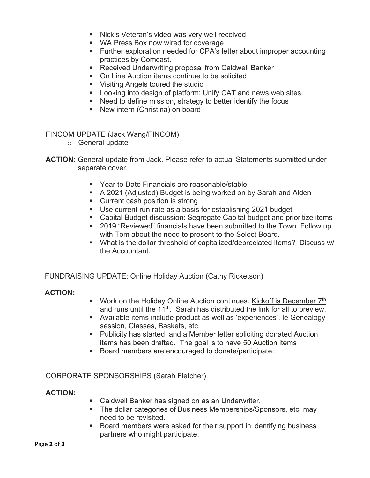- Nick's Veteran's video was very well received
- WA Press Box now wired for coverage
- Further exploration needed for CPA's letter about improper accounting practices by Comcast.
- Received Underwriting proposal from Caldwell Banker
- On Line Auction items continue to be solicited
- Visiting Angels toured the studio
- Looking into design of platform: Unify CAT and news web sites.
- Need to define mission, strategy to better identify the focus
- New intern (Christina) on board

FINCOM UPDATE (Jack Wang/FINCOM)

- o General update
- **ACTION:** General update from Jack. Please refer to actual Statements submitted under separate cover.
	- Year to Date Financials are reasonable/stable
	- A 2021 (Adjusted) Budget is being worked on by Sarah and Alden
	- Current cash position is strong
	- Use current run rate as a basis for establishing 2021 budget
	- Capital Budget discussion: Segregate Capital budget and prioritize items
	- 2019 "Reviewed" financials have been submitted to the Town. Follow up with Tom about the need to present to the Select Board.
	- § What is the dollar threshold of capitalized/depreciated items? Discuss w/ the Accountant.

FUNDRAISING UPDATE: Online Holiday Auction (Cathy Ricketson)

### **ACTION:**

- Work on the Holiday Online Auction continues. Kickoff is December 7<sup>th</sup> and runs until the  $11^{th}$ . Sarah has distributed the link for all to preview.
- § Available items include product as well as 'experiences'. Ie Genealogy session, Classes, Baskets, etc.
- Publicity has started, and a Member letter soliciting donated Auction items has been drafted. The goal is to have 50 Auction items
- Board members are encouraged to donate/participate.

### CORPORATE SPONSORSHIPS (Sarah Fletcher)

#### **ACTION:**

- Caldwell Banker has signed on as an Underwriter.
- The dollar categories of Business Memberships/Sponsors, etc. may need to be revisited.
- Board members were asked for their support in identifying business partners who might participate.